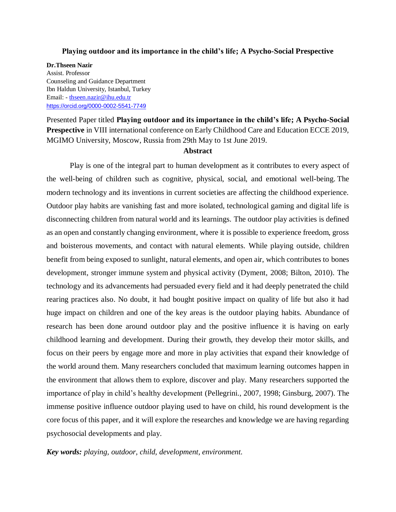### **Playing outdoor and its importance in the child's life; A Psycho-Social Prespective**

**Dr.Thseen Nazir** Assist. Professor Counseling and Guidance Department Ibn Haldun University, Istanbul, Turkey Email: - [thseen.nazir@ihu.edu.tr](mailto:thseen.nazir@ihu.edu.tr) <https://orcid.org/0000-0002-5541-7749>

Presented Paper titled **Playing outdoor and its importance in the child's life; A Psycho-Social Prespective** in VIII international conference on Early Childhood Care and Education ECCE 2019, MGIMO University, Moscow, Russia from 29th May to 1st June 2019.

# **Abstract**

Play is one of the integral part to human development as it contributes to every aspect of the well-being of children such as cognitive, physical, social, and emotional well-being. The modern technology and its inventions in current societies are affecting the childhood experience. Outdoor play habits are vanishing fast and more isolated, technological gaming and digital life is disconnecting children from natural world and its learnings. The outdoor play activities is defined as an open and constantly changing environment, where it is possible to experience freedom, gross and boisterous movements, and contact with natural elements. While playing outside, children benefit from being exposed to sunlight, natural elements, and open air, which contributes to bones development, stronger immune system and physical activity (Dyment, 2008; Bilton, 2010). The technology and its advancements had persuaded every field and it had deeply penetrated the child rearing practices also. No doubt, it had bought positive impact on quality of life but also it had huge impact on children and one of the key areas is the outdoor playing habits. Abundance of research has been done around outdoor play and the positive influence it is having on early childhood learning and development. During their growth, they develop their motor skills, and focus on their peers by engage more and more in play activities that expand their knowledge of the world around them. Many researchers concluded that maximum learning outcomes happen in the environment that allows them to explore, discover and play. Many researchers supported the importance of play in child's healthy development (Pellegrini., 2007, 1998; Ginsburg, 2007). The immense positive influence outdoor playing used to have on child, his round development is the core focus of this paper, and it will explore the researches and knowledge we are having regarding psychosocial developments and play.

### *Key words: playing, outdoor, child, development, environment.*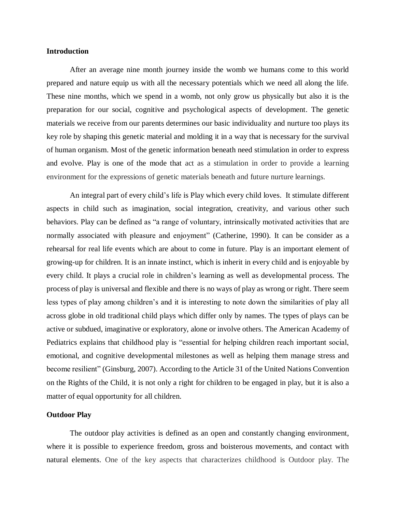## **Introduction**

After an average nine month journey inside the womb we humans come to this world prepared and nature equip us with all the necessary potentials which we need all along the life. These nine months, which we spend in a womb, not only grow us physically but also it is the preparation for our social, cognitive and psychological aspects of development. The genetic materials we receive from our parents determines our basic individuality and nurture too plays its key role by shaping this genetic material and molding it in a way that is necessary for the survival of human organism. Most of the genetic information beneath need stimulation in order to express and evolve. Play is one of the mode that act as a stimulation in order to provide a learning environment for the expressions of genetic materials beneath and future nurture learnings.

An integral part of every child's life is Play which every child loves. It stimulate different aspects in child such as imagination, social integration, creativity, and various other such behaviors. Play can be defined as "a range of voluntary, intrinsically motivated activities that are normally associated with pleasure and enjoyment" (Catherine, 1990). It can be consider as a rehearsal for real life events which are about to come in future. Play is an important element of growing-up for children. It is an innate instinct, which is inherit in every child and is enjoyable by every child. It plays a crucial role in children's learning as well as developmental process. The process of play is universal and flexible and there is no ways of play as wrong or right. There seem less types of play among children's and it is interesting to note down the similarities of play all across globe in old traditional child plays which differ only by names. The types of plays can be active or subdued, imaginative or exploratory, alone or involve others. The American Academy of Pediatrics explains that childhood play is "essential for helping children reach important social, emotional, and cognitive developmental milestones as well as helping them manage stress and become resilient" (Ginsburg, 2007). According to the Article 31 of the United Nations Convention on the Rights of the Child, it is not only a right for children to be engaged in play, but it is also a matter of equal opportunity for all children.

#### **Outdoor Play**

The outdoor play activities is defined as an open and constantly changing environment, where it is possible to experience freedom, gross and boisterous movements, and contact with natural elements. One of the key aspects that characterizes childhood is Outdoor play. The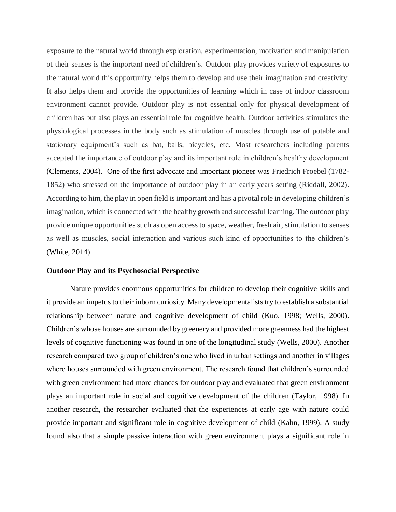exposure to the natural world through exploration, experimentation, motivation and manipulation of their senses is the important need of children's. Outdoor play provides variety of exposures to the natural world this opportunity helps them to develop and use their imagination and creativity. It also helps them and provide the opportunities of learning which in case of indoor classroom environment cannot provide. Outdoor play is not essential only for physical development of children has but also plays an essential role for cognitive health. Outdoor activities stimulates the physiological processes in the body such as stimulation of muscles through use of potable and stationary equipment's such as bat, balls, bicycles, etc. Most researchers including parents accepted the importance of outdoor play and its important role in children's healthy development (Clements, 2004). One of the first advocate and important pioneer was Friedrich Froebel (1782- 1852) who stressed on the importance of outdoor play in an early years setting (Riddall, 2002). According to him, the play in open field is important and has a pivotal role in developing children's imagination, which is connected with the healthy growth and successful learning. The outdoor play provide unique opportunities such as open access to space, weather, fresh air, stimulation to senses as well as muscles, social interaction and various such kind of opportunities to the children's (White, 2014).

# **Outdoor Play and its Psychosocial Perspective**

Nature provides enormous opportunities for children to develop their cognitive skills and it provide an impetus to their inborn curiosity. Many developmentalists try to establish a substantial relationship between nature and cognitive development of child (Kuo, 1998; Wells, 2000). Children's whose houses are surrounded by greenery and provided more greenness had the highest levels of cognitive functioning was found in one of the longitudinal study (Wells, 2000). Another research compared two group of children's one who lived in urban settings and another in villages where houses surrounded with green environment. The research found that children's surrounded with green environment had more chances for outdoor play and evaluated that green environment plays an important role in social and cognitive development of the children (Taylor, 1998). In another research, the researcher evaluated that the experiences at early age with nature could provide important and significant role in cognitive development of child (Kahn, 1999). A study found also that a simple passive interaction with green environment plays a significant role in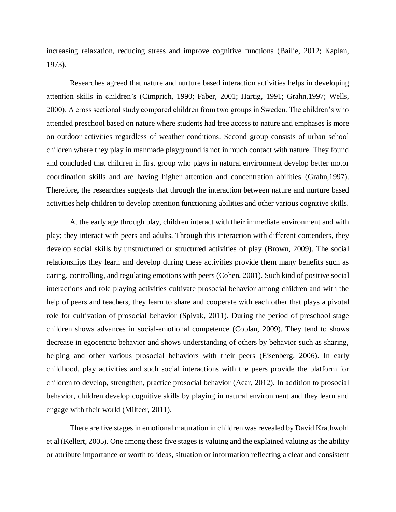increasing relaxation, reducing stress and improve cognitive functions (Bailie, 2012; Kaplan, 1973).

Researches agreed that nature and nurture based interaction activities helps in developing attention skills in children's (Cimprich, 1990; Faber, 2001; Hartig, 1991; Grahn,1997; Wells, 2000). A cross sectional study compared children from two groups in Sweden. The children's who attended preschool based on nature where students had free access to nature and emphases is more on outdoor activities regardless of weather conditions. Second group consists of urban school children where they play in manmade playground is not in much contact with nature. They found and concluded that children in first group who plays in natural environment develop better motor coordination skills and are having higher attention and concentration abilities (Grahn,1997). Therefore, the researches suggests that through the interaction between nature and nurture based activities help children to develop attention functioning abilities and other various cognitive skills.

At the early age through play, children interact with their immediate environment and with play; they interact with peers and adults. Through this interaction with different contenders, they develop social skills by unstructured or structured activities of play (Brown, 2009). The social relationships they learn and develop during these activities provide them many benefits such as caring, controlling, and regulating emotions with peers (Cohen, 2001). Such kind of positive social interactions and role playing activities cultivate prosocial behavior among children and with the help of peers and teachers, they learn to share and cooperate with each other that plays a pivotal role for cultivation of prosocial behavior (Spivak, 2011). During the period of preschool stage children shows advances in social-emotional competence (Coplan, 2009). They tend to shows decrease in egocentric behavior and shows understanding of others by behavior such as sharing, helping and other various prosocial behaviors with their peers (Eisenberg, 2006). In early childhood, play activities and such social interactions with the peers provide the platform for children to develop, strengthen, practice prosocial behavior (Acar, 2012). In addition to prosocial behavior, children develop cognitive skills by playing in natural environment and they learn and engage with their world (Milteer, 2011).

There are five stages in emotional maturation in children was revealed by David Krathwohl et al(Kellert, 2005). One among these five stages is valuing and the explained valuing as the ability or attribute importance or worth to ideas, situation or information reflecting a clear and consistent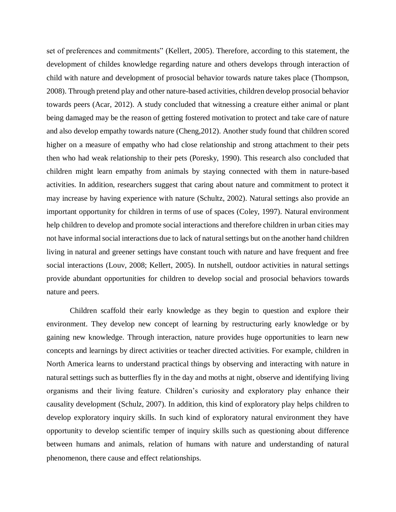set of preferences and commitments" (Kellert, 2005). Therefore, according to this statement, the development of childes knowledge regarding nature and others develops through interaction of child with nature and development of prosocial behavior towards nature takes place (Thompson, 2008). Through pretend play and other nature-based activities, children develop prosocial behavior towards peers (Acar, 2012). A study concluded that witnessing a creature either animal or plant being damaged may be the reason of getting fostered motivation to protect and take care of nature and also develop empathy towards nature (Cheng,2012). Another study found that children scored higher on a measure of empathy who had close relationship and strong attachment to their pets then who had weak relationship to their pets (Poresky, 1990). This research also concluded that children might learn empathy from animals by staying connected with them in nature-based activities. In addition, researchers suggest that caring about nature and commitment to protect it may increase by having experience with nature (Schultz, 2002). Natural settings also provide an important opportunity for children in terms of use of spaces (Coley, 1997). Natural environment help children to develop and promote social interactions and therefore children in urban cities may not have informal social interactions due to lack of natural settings but on the another hand children living in natural and greener settings have constant touch with nature and have frequent and free social interactions (Louv, 2008; Kellert, 2005). In nutshell, outdoor activities in natural settings provide abundant opportunities for children to develop social and prosocial behaviors towards nature and peers.

Children scaffold their early knowledge as they begin to question and explore their environment. They develop new concept of learning by restructuring early knowledge or by gaining new knowledge. Through interaction, nature provides huge opportunities to learn new concepts and learnings by direct activities or teacher directed activities. For example, children in North America learns to understand practical things by observing and interacting with nature in natural settings such as butterflies fly in the day and moths at night, observe and identifying living organisms and their living feature. Children's curiosity and exploratory play enhance their causality development (Schulz, 2007). In addition, this kind of exploratory play helps children to develop exploratory inquiry skills. In such kind of exploratory natural environment they have opportunity to develop scientific temper of inquiry skills such as questioning about difference between humans and animals, relation of humans with nature and understanding of natural phenomenon, there cause and effect relationships.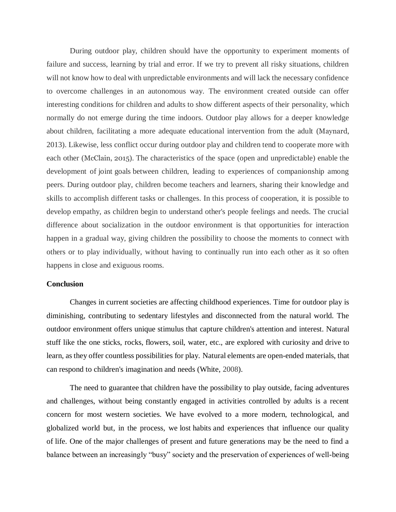During outdoor play, children should have the opportunity to experiment moments of failure and success, learning by trial and error. If we try to prevent all risky situations, children will not know how to deal with unpredictable environments and will lack the necessary confidence to overcome challenges in an autonomous way. The environment created outside can offer interesting conditions for children and adults to show different aspects of their personality, which normally do not emerge during the time indoors. Outdoor play allows for a deeper knowledge about children, facilitating a more adequate educational intervention from the adult (Maynard, 2013). Likewise, less conflict occur during outdoor play and children tend to cooperate more with each other (McClain, 2015). The characteristics of the space (open and unpredictable) enable the development of joint goals between children, leading to experiences of companionship among peers. During outdoor play, children become teachers and learners, sharing their knowledge and skills to accomplish different tasks or challenges. In this process of cooperation, it is possible to develop empathy, as children begin to understand other's people feelings and needs. The crucial difference about socialization in the outdoor environment is that opportunities for interaction happen in a gradual way, giving children the possibility to choose the moments to connect with others or to play individually, without having to continually run into each other as it so often happens in close and exiguous rooms.

# **Conclusion**

Changes in current societies are affecting childhood experiences. Time for outdoor play is diminishing, contributing to sedentary lifestyles and disconnected from the natural world. The outdoor environment offers unique stimulus that capture children's attention and interest. Natural stuff like the one sticks, rocks, flowers, soil, water, etc., are explored with curiosity and drive to learn, as they offer countless possibilities for play. Natural elements are open-ended materials, that can respond to children's imagination and needs (White, 2008).

The need to guarantee that children have the possibility to play outside, facing adventures and challenges, without being constantly engaged in activities controlled by adults is a recent concern for most western societies. We have evolved to a more modern, technological, and globalized world but, in the process, we lost habits and experiences that influence our quality of life. One of the major challenges of present and future generations may be the need to find a balance between an increasingly "busy" society and the preservation of experiences of well-being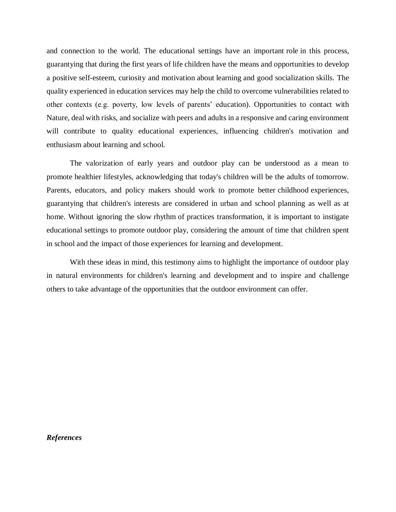and connection to the world. The educational settings have an important role in this process, guarantying that during the first years of life children have the means and opportunities to develop a positive self-esteem, curiosity and motivation about learning and good socialization skills. The quality experienced in education services may help the child to overcome vulnerabilities related to other contexts (e.g. poverty, low levels of parents' education). Opportunities to contact with Nature, deal with risks, and socialize with peers and adults in a responsive and caring environment will contribute to quality educational experiences, influencing children's motivation and enthusiasm about learning and school.

The valorization of early years and outdoor play can be understood as a mean to promote healthier lifestyles, acknowledging that today's children will be the adults of tomorrow. Parents, educators, and policy makers should work to promote better childhood experiences, guarantying that children's interests are considered in urban and school planning as well as at home. Without ignoring the slow rhythm of practices transformation, it is important to instigate educational settings to promote outdoor play, considering the amount of time that children spent in school and the impact of those experiences for learning and development.

With these ideas in mind, this testimony aims to highlight the importance of outdoor play in natural environments for children's learning and development and to inspire and challenge others to take advantage of the opportunities that the outdoor environment can offer.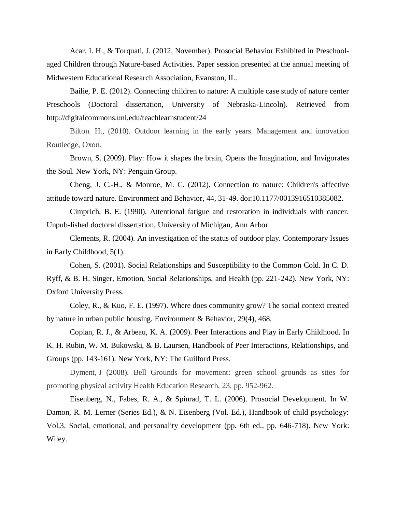Acar, I. H., & Torquati, J. (2012, November). Prosocial Behavior Exhibited in Preschoolaged Children through Nature-based Activities. Paper session presented at the annual meeting of Midwestern Educational Research Association, Evanston, IL.

Bailie, P. E. (2012). Connecting children to nature: A multiple case study of nature center Preschools (Doctoral dissertation, University of Nebraska-Lincoln). Retrieved from http://digitalcommons.unl.edu/teachlearnstudent/24

Bilton. H., (2010). Outdoor learning in the early years. Management and innovation Routledge, Oxon.

Brown, S. (2009). Play: How it shapes the brain, Opens the Imagination, and Invigorates the Soul. New York, NY: Penguin Group.

Cheng, J. C.-H., & Monroe, M. C. (2012). Connection to nature: Children's affective attitude toward nature. Environment and Behavior, 44, 31-49. doi:10.1177/0013916510385082.

Cimprich, B. E. (1990). Attentional fatigue and restoration in individuals with cancer. Unpub-lished doctoral dissertation, University of Michigan, Ann Arbor.

Clements, R. (2004). An investigation of the status of outdoor play. Contemporary Issues in Early Childhood, 5(1).

Cohen, S. (2001). Social Relationships and Susceptibility to the Common Cold. In C. D. Ryff, & B. H. Singer, Emotion, Social Relationships, and Health (pp. 221-242). New York, NY: Oxford University Press.

Coley, R., & Kuo, F. E. (1997). Where does community grow? The social context created by nature in urban public housing. Environment & Behavior, 29(4), 468.

Coplan, R. J., & Arbeau, K. A. (2009). Peer Interactions and Play in Early Childhood. In K. H. Rubin, W. M. Bukowski, & B. Laursen, Handbook of Peer Interactions, Relationships, and Groups (pp. 143-161). New York, NY: The Guilford Press.

Dyment, J (2008). Bell Grounds for movement: green school grounds as sites for promoting physical activity Health Education Research, 23, pp. 952-962.

Eisenberg, N., Fabes, R. A., & Spinrad, T. L. (2006). Prosocial Development. In W. Damon, R. M. Lerner (Series Ed.), & N. Eisenberg (Vol. Ed.), Handbook of child psychology: Vol.3. Social, emotional, and personality development (pp. 6th ed., pp. 646-718). New York: Wiley.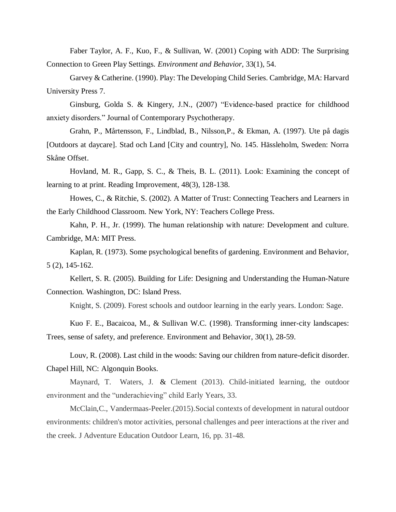Faber Taylor, A. F., Kuo, F., & Sullivan, W. (2001) Coping with ADD: The Surprising Connection to Green Play Settings. *Environment and Behavior*, 33(1), 54.

Garvey & Catherine. (1990). Play: The Developing Child Series. Cambridge, MA: Harvard University Press 7.

Ginsburg, Golda S. & Kingery, J.N., (2007) "Evidence-based practice for childhood anxiety disorders." Journal of Contemporary Psychotherapy.

Grahn, P., Mårtensson, F., Lindblad, B., Nilsson,P., & Ekman, A. (1997). Ute på dagis [Outdoors at daycare]. Stad och Land [City and country], No. 145. Hässleholm, Sweden: Norra Skåne Offset.

Hovland, M. R., Gapp, S. C., & Theis, B. L. (2011). Look: Examining the concept of learning to at print. Reading Improvement, 48(3), 128-138.

Howes, C., & Ritchie, S. (2002). A Matter of Trust: Connecting Teachers and Learners in the Early Childhood Classroom. New York, NY: Teachers College Press.

Kahn, P. H., Jr. (1999). The human relationship with nature: Development and culture. Cambridge, MA: MIT Press.

Kaplan, R. (1973). Some psychological benefits of gardening. Environment and Behavior, 5 (2), 145-162.

Kellert, S. R. (2005). Building for Life: Designing and Understanding the Human-Nature Connection. Washington, DC: Island Press.

Knight, S. (2009). Forest schools and outdoor learning in the early years. London: Sage.

Kuo F. E., Bacaicoa, M., & Sullivan W.C. (1998). Transforming inner-city landscapes: Trees, sense of safety, and preference. Environment and Behavior, 30(1), 28-59.

Louv, R. (2008). Last child in the woods: Saving our children from nature-deficit disorder. Chapel Hill, NC: Algonquin Books.

Maynard, T. Waters, J. & Clement (2013). Child-initiated learning, the outdoor environment and the "underachieving" child Early Years, 33.

McClain,C., Vandermaas-Peeler.(2015).Social contexts of development in natural outdoor environments: children's motor activities, personal challenges and peer interactions at the river and the creek. J Adventure Education Outdoor Learn, 16, pp. 31-48.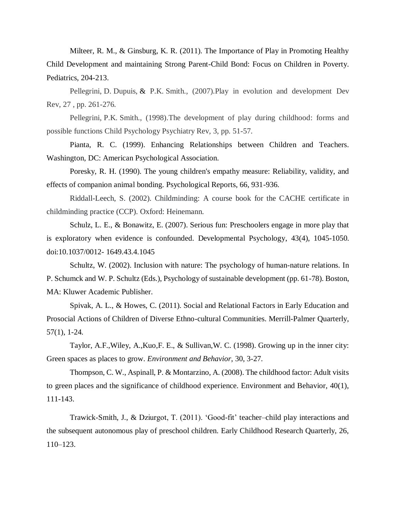Milteer, R. M., & Ginsburg, K. R. (2011). The Importance of Play in Promoting Healthy Child Development and maintaining Strong Parent-Child Bond: Focus on Children in Poverty. Pediatrics, 204-213.

Pellegrini, D. Dupuis, & P.K. Smith., (2007).Play in evolution and development Dev Rev, 27 , pp. 261-276.

Pellegrini, P.K. Smith., (1998).The development of play during childhood: forms and possible functions Child Psychology Psychiatry Rev, 3, pp. 51-57.

Pianta, R. C. (1999). Enhancing Relationships between Children and Teachers. Washington, DC: American Psychological Association.

Poresky, R. H. (1990). The young children's empathy measure: Reliability, validity, and effects of companion animal bonding. Psychological Reports, 66, 931-936.

Riddall-Leech, S. (2002). Childminding: A course book for the CACHE certificate in childminding practice (CCP). Oxford: Heinemann.

Schulz, L. E., & Bonawitz, E. (2007). Serious fun: Preschoolers engage in more play that is exploratory when evidence is confounded. Developmental Psychology, 43(4), 1045-1050. doi:10.1037/0012- 1649.43.4.1045

Schultz, W. (2002). Inclusion with nature: The psychology of human-nature relations. In P. Schumck and W. P. Schultz (Eds.), Psychology of sustainable development (pp. 61-78). Boston, MA: Kluwer Academic Publisher.

Spivak, A. L., & Howes, C. (2011). Social and Relational Factors in Early Education and Prosocial Actions of Children of Diverse Ethno-cultural Communities. Merrill-Palmer Quarterly, 57(1), 1-24.

Taylor, A.F.,Wiley, A.,Kuo,F. E., & Sullivan,W. C. (1998). Growing up in the inner city: Green spaces as places to grow. *Environment and Behavior*, 30, 3-27.

Thompson, C. W., Aspinall, P. & Montarzino, A. (2008). The childhood factor: Adult visits to green places and the significance of childhood experience. Environment and Behavior, 40(1), 111-143.

Trawick-Smith, J., & Dziurgot, T. (2011). 'Good-fit' teacher–child play interactions and the subsequent autonomous play of preschool children. Early Childhood Research Quarterly, 26, 110–123.